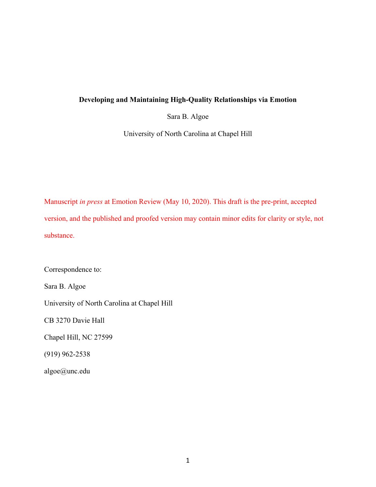## **Developing and Maintaining High-Quality Relationships via Emotion**

Sara B. Algoe

University of North Carolina at Chapel Hill

Manuscript *in press* at Emotion Review (May 10, 2020). This draft is the pre-print, accepted version, and the published and proofed version may contain minor edits for clarity or style, not substance.

Correspondence to:

Sara B. Algoe

University of North Carolina at Chapel Hill

CB 3270 Davie Hall

Chapel Hill, NC 27599

(919) 962-2538

algoe@unc.edu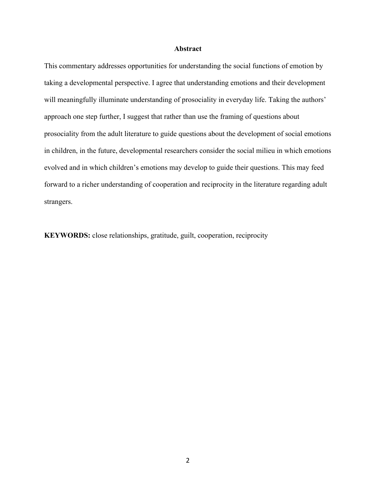## **Abstract**

This commentary addresses opportunities for understanding the social functions of emotion by taking a developmental perspective. I agree that understanding emotions and their development will meaningfully illuminate understanding of prosociality in everyday life. Taking the authors' approach one step further, I suggest that rather than use the framing of questions about prosociality from the adult literature to guide questions about the development of social emotions in children, in the future, developmental researchers consider the social milieu in which emotions evolved and in which children's emotions may develop to guide their questions. This may feed forward to a richer understanding of cooperation and reciprocity in the literature regarding adult strangers.

**KEYWORDS:** close relationships, gratitude, guilt, cooperation, reciprocity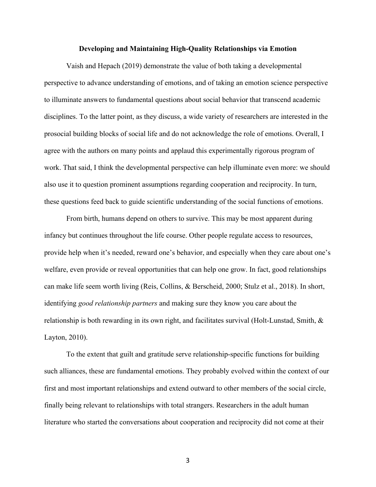## **Developing and Maintaining High-Quality Relationships via Emotion**

Vaish and Hepach (2019) demonstrate the value of both taking a developmental perspective to advance understanding of emotions, and of taking an emotion science perspective to illuminate answers to fundamental questions about social behavior that transcend academic disciplines. To the latter point, as they discuss, a wide variety of researchers are interested in the prosocial building blocks of social life and do not acknowledge the role of emotions. Overall, I agree with the authors on many points and applaud this experimentally rigorous program of work. That said, I think the developmental perspective can help illuminate even more: we should also use it to question prominent assumptions regarding cooperation and reciprocity. In turn, these questions feed back to guide scientific understanding of the social functions of emotions.

From birth, humans depend on others to survive. This may be most apparent during infancy but continues throughout the life course. Other people regulate access to resources, provide help when it's needed, reward one's behavior, and especially when they care about one's welfare, even provide or reveal opportunities that can help one grow. In fact, good relationships can make life seem worth living (Reis, Collins, & Berscheid, 2000; Stulz et al., 2018). In short, identifying *good relationship partners* and making sure they know you care about the relationship is both rewarding in its own right, and facilitates survival (Holt-Lunstad, Smith, & Layton, 2010).

To the extent that guilt and gratitude serve relationship-specific functions for building such alliances, these are fundamental emotions. They probably evolved within the context of our first and most important relationships and extend outward to other members of the social circle, finally being relevant to relationships with total strangers. Researchers in the adult human literature who started the conversations about cooperation and reciprocity did not come at their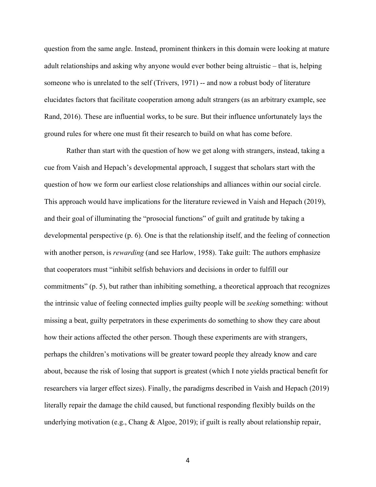question from the same angle. Instead, prominent thinkers in this domain were looking at mature adult relationships and asking why anyone would ever bother being altruistic – that is, helping someone who is unrelated to the self (Trivers, 1971) -- and now a robust body of literature elucidates factors that facilitate cooperation among adult strangers (as an arbitrary example, see Rand, 2016). These are influential works, to be sure. But their influence unfortunately lays the ground rules for where one must fit their research to build on what has come before.

Rather than start with the question of how we get along with strangers, instead, taking a cue from Vaish and Hepach's developmental approach, I suggest that scholars start with the question of how we form our earliest close relationships and alliances within our social circle. This approach would have implications for the literature reviewed in Vaish and Hepach (2019), and their goal of illuminating the "prosocial functions" of guilt and gratitude by taking a developmental perspective (p. 6). One is that the relationship itself, and the feeling of connection with another person, is *rewarding* (and see Harlow, 1958). Take guilt: The authors emphasize that cooperators must "inhibit selfish behaviors and decisions in order to fulfill our commitments" (p. 5), but rather than inhibiting something, a theoretical approach that recognizes the intrinsic value of feeling connected implies guilty people will be *seeking* something: without missing a beat, guilty perpetrators in these experiments do something to show they care about how their actions affected the other person. Though these experiments are with strangers, perhaps the children's motivations will be greater toward people they already know and care about, because the risk of losing that support is greatest (which I note yields practical benefit for researchers via larger effect sizes). Finally, the paradigms described in Vaish and Hepach (2019) literally repair the damage the child caused, but functional responding flexibly builds on the underlying motivation (e.g., Chang & Algoe, 2019); if guilt is really about relationship repair,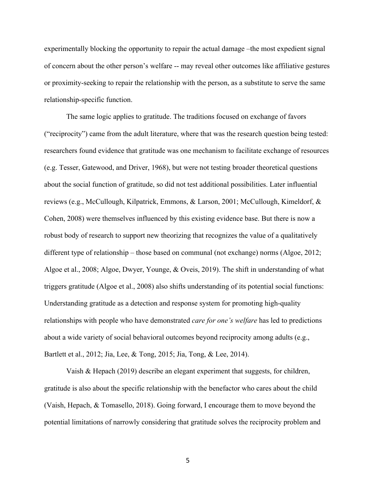experimentally blocking the opportunity to repair the actual damage –the most expedient signal of concern about the other person's welfare -- may reveal other outcomes like affiliative gestures or proximity-seeking to repair the relationship with the person, as a substitute to serve the same relationship-specific function.

The same logic applies to gratitude. The traditions focused on exchange of favors ("reciprocity") came from the adult literature, where that was the research question being tested: researchers found evidence that gratitude was one mechanism to facilitate exchange of resources (e.g. Tesser, Gatewood, and Driver, 1968), but were not testing broader theoretical questions about the social function of gratitude, so did not test additional possibilities. Later influential reviews (e.g., McCullough, Kilpatrick, Emmons, & Larson, 2001; McCullough, Kimeldorf, & Cohen, 2008) were themselves influenced by this existing evidence base. But there is now a robust body of research to support new theorizing that recognizes the value of a qualitatively different type of relationship – those based on communal (not exchange) norms (Algoe, 2012; Algoe et al., 2008; Algoe, Dwyer, Younge, & Oveis, 2019). The shift in understanding of what triggers gratitude (Algoe et al., 2008) also shifts understanding of its potential social functions: Understanding gratitude as a detection and response system for promoting high-quality relationships with people who have demonstrated *care for one's welfare* has led to predictions about a wide variety of social behavioral outcomes beyond reciprocity among adults (e.g., Bartlett et al., 2012; Jia, Lee, & Tong, 2015; Jia, Tong, & Lee, 2014).

Vaish & Hepach (2019) describe an elegant experiment that suggests, for children, gratitude is also about the specific relationship with the benefactor who cares about the child (Vaish, Hepach, & Tomasello, 2018). Going forward, I encourage them to move beyond the potential limitations of narrowly considering that gratitude solves the reciprocity problem and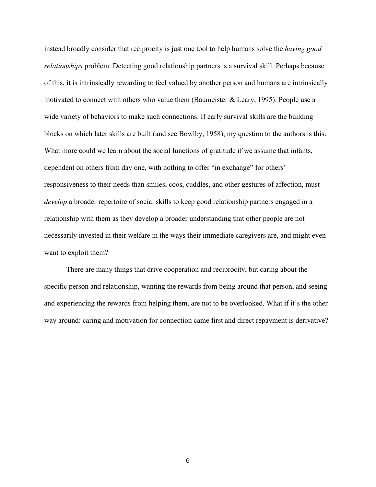instead broadly consider that reciprocity is just one tool to help humans solve the *having good relationships* problem. Detecting good relationship partners is a survival skill. Perhaps because of this, it is intrinsically rewarding to feel valued by another person and humans are intrinsically motivated to connect with others who value them (Baumeister & Leary, 1995). People use a wide variety of behaviors to make such connections. If early survival skills are the building blocks on which later skills are built (and see Bowlby, 1958), my question to the authors is this: What more could we learn about the social functions of gratitude if we assume that infants, dependent on others from day one, with nothing to offer "in exchange" for others' responsiveness to their needs than smiles, coos, cuddles, and other gestures of affection, must *develop* a broader repertoire of social skills to keep good relationship partners engaged in a relationship with them as they develop a broader understanding that other people are not necessarily invested in their welfare in the ways their immediate caregivers are, and might even want to exploit them?

There are many things that drive cooperation and reciprocity, but caring about the specific person and relationship, wanting the rewards from being around that person, and seeing and experiencing the rewards from helping them, are not to be overlooked. What if it's the other way around: caring and motivation for connection came first and direct repayment is derivative?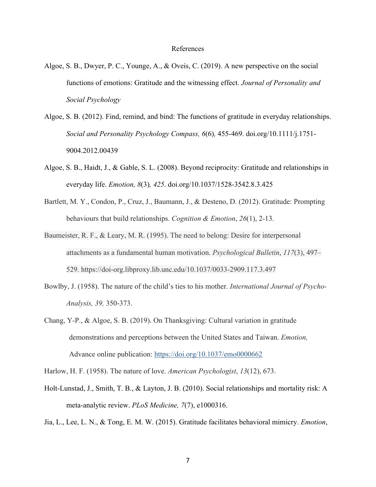## References

- Algoe, S. B., Dwyer, P. C., Younge, A., & Oveis, C. (2019). A new perspective on the social functions of emotions: Gratitude and the witnessing effect. *Journal of Personality and Social Psychology*
- Algoe, S. B. (2012). Find, remind, and bind: The functions of gratitude in everyday relationships. *Social and Personality Psychology Compass, 6*(6)*,* 455-469. doi.org/10.1111/j.1751- 9004.2012.00439
- Algoe, S. B., Haidt, J., & Gable, S. L. (2008). Beyond reciprocity: Gratitude and relationships in everyday life. *Emotion, 8*(3)*, 425*. doi.org/10.1037/1528-3542.8.3.425
- Bartlett, M. Y., Condon, P., Cruz, J., Baumann, J., & Desteno, D. (2012). Gratitude: Prompting behaviours that build relationships. *Cognition & Emotion*, *26*(1), 2-13.
- Baumeister, R. F., & Leary, M. R. (1995). The need to belong: Desire for interpersonal attachments as a fundamental human motivation. *Psychological Bulletin*, *117*(3), 497– 529. https://doi-org.libproxy.lib.unc.edu/10.1037/0033-2909.117.3.497
- Bowlby, J. (1958). The nature of the child's ties to his mother. *International Journal of Psycho-Analysis, 39,* 350-373.
- Chang, Y-P., & Algoe, S. B. (2019). On Thanksgiving: Cultural variation in gratitude demonstrations and perceptions between the United States and Taiwan. *Emotion,* Advance online publication: https://doi.org/10.1037/emo0000662

Harlow, H. F. (1958). The nature of love. *American Psychologist*, *13*(12), 673.

Holt-Lunstad, J., Smith, T. B., & Layton, J. B. (2010). Social relationships and mortality risk: A meta-analytic review. *PLoS Medicine, 7*(7), e1000316.

Jia, L., Lee, L. N., & Tong, E. M. W. (2015). Gratitude facilitates behavioral mimicry. *Emotion*,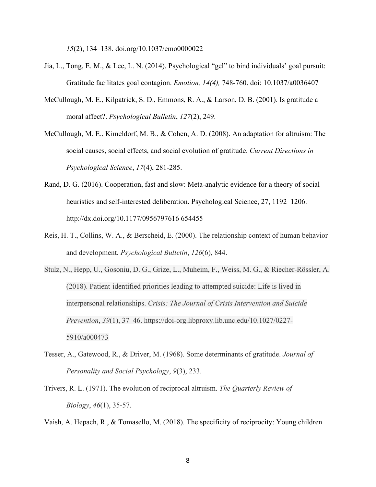*15*(2), 134–138. doi.org/10.1037/emo0000022

- Jia, L., Tong, E. M., & Lee, L. N. (2014). Psychological "gel" to bind individuals' goal pursuit: Gratitude facilitates goal contagion. *Emotion, 14(4),* 748-760. doi: 10.1037/a0036407
- McCullough, M. E., Kilpatrick, S. D., Emmons, R. A., & Larson, D. B. (2001). Is gratitude a moral affect?. *Psychological Bulletin*, *127*(2), 249.
- McCullough, M. E., Kimeldorf, M. B., & Cohen, A. D. (2008). An adaptation for altruism: The social causes, social effects, and social evolution of gratitude. *Current Directions in Psychological Science*, *17*(4), 281-285.
- Rand, D. G. (2016). Cooperation, fast and slow: Meta-analytic evidence for a theory of social heuristics and self-interested deliberation. Psychological Science, 27, 1192–1206. http://dx.doi.org/10.1177/0956797616 654455
- Reis, H. T., Collins, W. A., & Berscheid, E. (2000). The relationship context of human behavior and development. *Psychological Bulletin*, *126*(6), 844.
- Stulz, N., Hepp, U., Gosoniu, D. G., Grize, L., Muheim, F., Weiss, M. G., & Riecher-Rössler, A. (2018). Patient-identified priorities leading to attempted suicide: Life is lived in interpersonal relationships. *Crisis: The Journal of Crisis Intervention and Suicide Prevention*, *39*(1), 37–46. https://doi-org.libproxy.lib.unc.edu/10.1027/0227- 5910/a000473
- Tesser, A., Gatewood, R., & Driver, M. (1968). Some determinants of gratitude. *Journal of Personality and Social Psychology*, *9*(3), 233.
- Trivers, R. L. (1971). The evolution of reciprocal altruism. *The Quarterly Review of Biology*, *46*(1), 35-57.

Vaish, A. Hepach, R., & Tomasello, M. (2018). The specificity of reciprocity: Young children